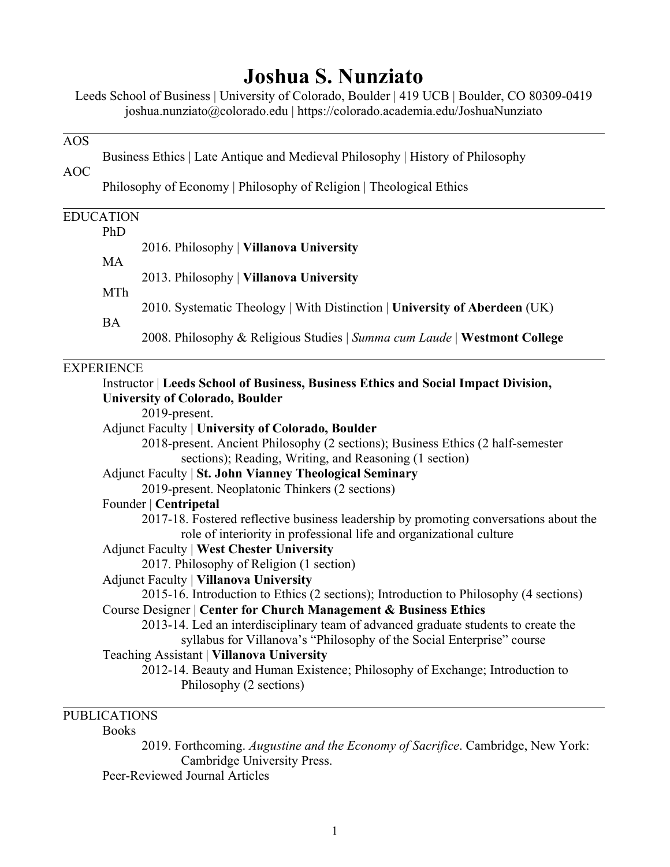# **Joshua S. Nunziato**

Leeds School of Business | University of Colorado, Boulder | 419 UCB | Boulder, CO 80309-0419 joshua.nunziato@colorado.edu | https://colorado.academia.edu/JoshuaNunziato

#### AOS

Business Ethics | Late Antique and Medieval Philosophy | History of Philosophy

AOC

Philosophy of Economy | Philosophy of Religion | Theological Ethics

# EDUCATION PhD 2016. Philosophy | **Villanova University** MA 2013. Philosophy | **Villanova University** MTh 2010. Systematic Theology | With Distinction | **University of Aberdeen** (UK) BA 2008. Philosophy & Religious Studies | *Summa cum Laude* | **Westmont College EXPERIENCE** Instructor | **Leeds School of Business, Business Ethics and Social Impact Division, University of Colorado, Boulder** 2019-present. Adjunct Faculty | **University of Colorado, Boulder** 2018-present. Ancient Philosophy (2 sections); Business Ethics (2 half-semester sections); Reading, Writing, and Reasoning (1 section) Adjunct Faculty | **St. John Vianney Theological Seminary** 2019-present. Neoplatonic Thinkers (2 sections) Founder | **Centripetal** 2017-18. Fostered reflective business leadership by promoting conversations about the role of interiority in professional life and organizational culture Adjunct Faculty | **West Chester University** 2017. Philosophy of Religion (1 section) Adjunct Faculty | **Villanova University** 2015-16. Introduction to Ethics (2 sections); Introduction to Philosophy (4 sections) Course Designer | **Center for Church Management & Business Ethics** 2013-14. Led an interdisciplinary team of advanced graduate students to create the syllabus for Villanova's "Philosophy of the Social Enterprise" course Teaching Assistant | **Villanova University** 2012-14. Beauty and Human Existence; Philosophy of Exchange; Introduction to Philosophy (2 sections)

# PUBLICATIONS

#### **Books**

2019. Forthcoming. *Augustine and the Economy of Sacrifice*. Cambridge, New York: Cambridge University Press.

Peer-Reviewed Journal Articles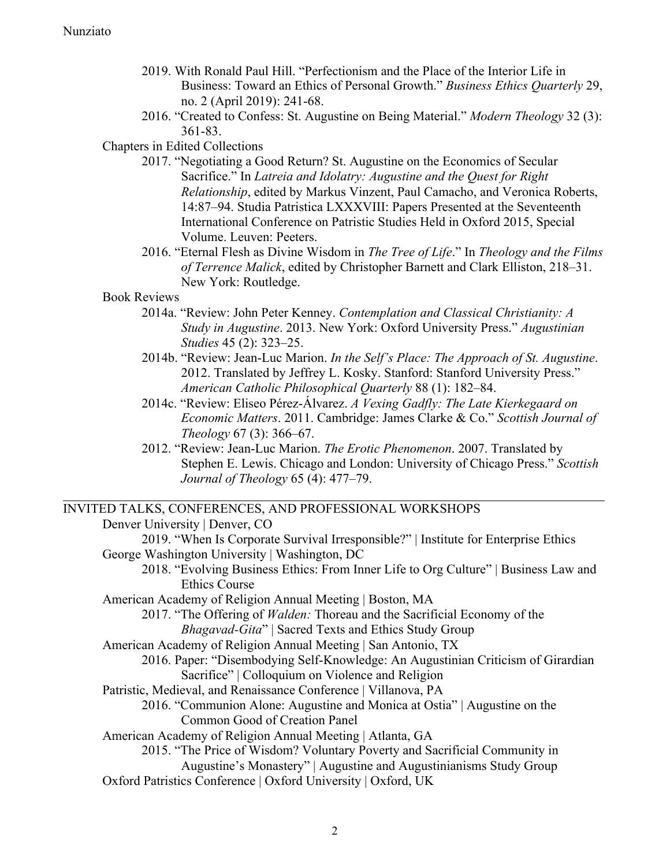- 2019. With Ronald Paul Hill. "Perfectionism and the Place of the Interior Life in Business: Toward an Ethics of Personal Growth." *Business Ethics Quarterly* 29, no. 2 (April 2019): 241-68.
- 2016. "Created to Confess: St. Augustine on Being Material." *Modern Theology* 32 (3): 361-83.

### Chapters in Edited Collections

- 2017. "Negotiating a Good Return? St. Augustine on the Economics of Secular Sacrifice." In *Latreia and Idolatry: Augustine and the Quest for Right Relationship*, edited by Markus Vinzent, Paul Camacho, and Veronica Roberts, 14:87–94. Studia Patristica LXXXVIII: Papers Presented at the Seventeenth International Conference on Patristic Studies Held in Oxford 2015, Special Volume. Leuven: Peeters.
- 2016. "Eternal Flesh as Divine Wisdom in *The Tree of Life*." In *Theology and the Films of Terrence Malick*, edited by Christopher Barnett and Clark Elliston, 218–31. New York: Routledge.

## Book Reviews

- 2014a. "Review: John Peter Kenney. *Contemplation and Classical Christianity: A Study in Augustine*. 2013. New York: Oxford University Press." *Augustinian Studies* 45 (2): 323–25.
- 2014b. "Review: Jean-Luc Marion. *In the Self's Place: The Approach of St. Augustine*. 2012. Translated by Jeffrey L. Kosky. Stanford: Stanford University Press." *American Catholic Philosophical Quarterly* 88 (1): 182–84.
- 2014c. "Review: Eliseo Pérez-Álvarez. *A Vexing Gadfly: The Late Kierkegaard on Economic Matters*. 2011. Cambridge: James Clarke & Co." *Scottish Journal of Theology* 67 (3): 366–67.
- 2012. "Review: Jean-Luc Marion. *The Erotic Phenomenon*. 2007. Translated by Stephen E. Lewis. Chicago and London: University of Chicago Press." *Scottish Journal of Theology* 65 (4): 477–79.

# INVITED TALKS, CONFERENCES, AND PROFESSIONAL WORKSHOPS

Denver University | Denver, CO 2019. "When Is Corporate Survival Irresponsible?" | Institute for Enterprise Ethics George Washington University | Washington, DC 2018. "Evolving Business Ethics: From Inner Life to Org Culture" | Business Law and Ethics Course American Academy of Religion Annual Meeting | Boston, MA 2017. "The Offering of *Walden:* Thoreau and the Sacrificial Economy of the *Bhagavad-Gita*" | Sacred Texts and Ethics Study Group American Academy of Religion Annual Meeting | San Antonio, TX 2016. Paper: "Disembodying Self-Knowledge: An Augustinian Criticism of Girardian Sacrifice" | Colloquium on Violence and Religion Patristic, Medieval, and Renaissance Conference | Villanova, PA 2016. "Communion Alone: Augustine and Monica at Ostia" | Augustine on the Common Good of Creation Panel American Academy of Religion Annual Meeting | Atlanta, GA 2015. "The Price of Wisdom? Voluntary Poverty and Sacrificial Community in Augustine's Monastery" | Augustine and Augustinianisms Study Group Oxford Patristics Conference | Oxford University | Oxford, UK